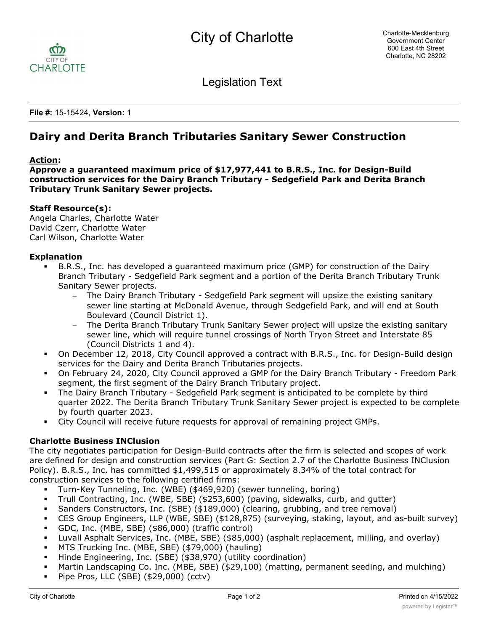

Legislation Text

**File #:** 15-15424, **Version:** 1

# **Dairy and Derita Branch Tributaries Sanitary Sewer Construction**

## **Action:**

**Approve a guaranteed maximum price of \$17,977,441 to B.R.S., Inc. for Design-Build construction services for the Dairy Branch Tributary - Sedgefield Park and Derita Branch Tributary Trunk Sanitary Sewer projects.**

## **Staff Resource(s):**

Angela Charles, Charlotte Water David Czerr, Charlotte Water Carl Wilson, Charlotte Water

## **Explanation**

- § B.R.S., Inc. has developed a guaranteed maximum price (GMP) for construction of the Dairy Branch Tributary - Sedgefield Park segment and a portion of the Derita Branch Tributary Trunk Sanitary Sewer projects.
	- The Dairy Branch Tributary Sedgefield Park segment will upsize the existing sanitary sewer line starting at McDonald Avenue, through Sedgefield Park, and will end at South Boulevard (Council District 1).
	- The Derita Branch Tributary Trunk Sanitary Sewer project will upsize the existing sanitary sewer line, which will require tunnel crossings of North Tryon Street and Interstate 85 (Council Districts 1 and 4).
- On December 12, 2018, City Council approved a contract with B.R.S., Inc. for Design-Build design services for the Dairy and Derita Branch Tributaries projects.
- § On February 24, 2020, City Council approved a GMP for the Dairy Branch Tributary Freedom Park segment, the first segment of the Dairy Branch Tributary project.
- The Dairy Branch Tributary Sedgefield Park segment is anticipated to be complete by third quarter 2022. The Derita Branch Tributary Trunk Sanitary Sewer project is expected to be complete by fourth quarter 2023.
- § City Council will receive future requests for approval of remaining project GMPs.

# **Charlotte Business INClusion**

The city negotiates participation for Design-Build contracts after the firm is selected and scopes of work are defined for design and construction services (Part G: Section 2.7 of the Charlotte Business INClusion Policy). B.R.S., Inc. has committed \$1,499,515 or approximately 8.34% of the total contract for construction services to the following certified firms:

- § Turn-Key Tunneling, Inc. (WBE) (\$469,920) (sewer tunneling, boring)
- § Trull Contracting, Inc. (WBE, SBE) (\$253,600) (paving, sidewalks, curb, and gutter)
- § Sanders Constructors, Inc. (SBE) (\$189,000) (clearing, grubbing, and tree removal)
- § CES Group Engineers, LLP (WBE, SBE) (\$128,875) (surveying, staking, layout, and as-built survey)
- § GDC, Inc. (MBE, SBE) (\$86,000) (traffic control)
- § Luvall Asphalt Services, Inc. (MBE, SBE) (\$85,000) (asphalt replacement, milling, and overlay)
- § MTS Trucking Inc. (MBE, SBE) (\$79,000) (hauling)
- § Hinde Engineering, Inc. (SBE) (\$38,970) (utility coordination)
- § Martin Landscaping Co. Inc. (MBE, SBE) (\$29,100) (matting, permanent seeding, and mulching)
- § Pipe Pros, LLC (SBE) (\$29,000) (cctv)